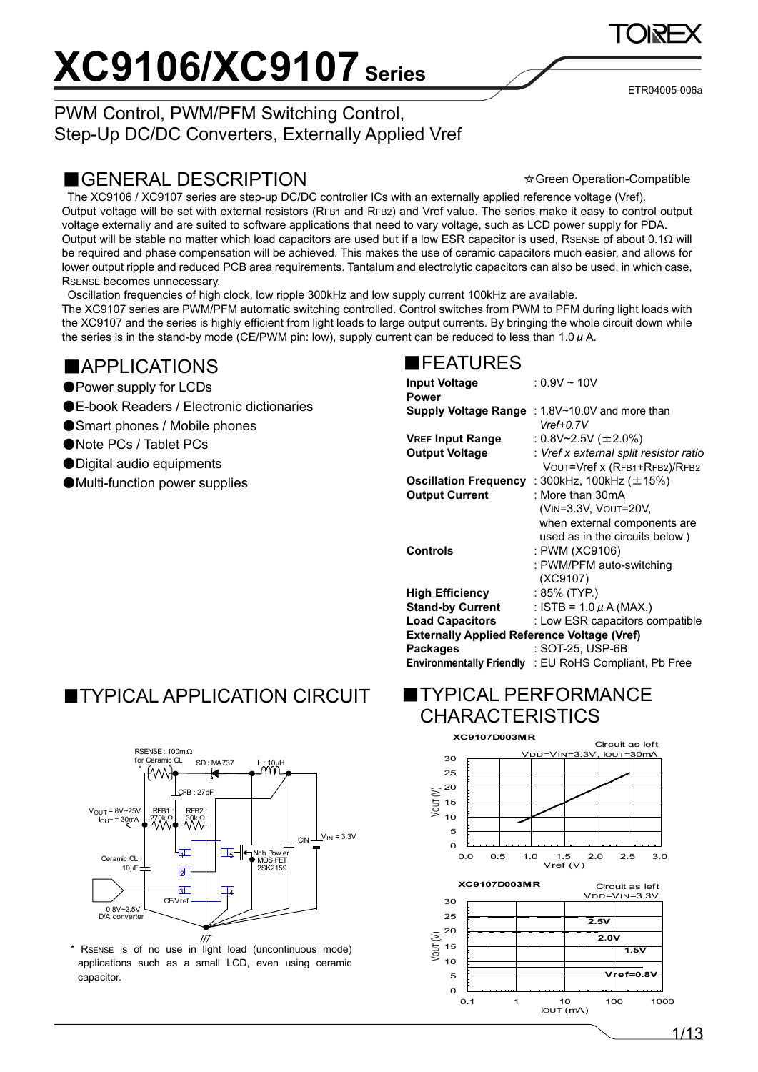### PWM Control, PWM/PFM Switching Control, Step-Up DC/DC Converters, Externally Applied Vref

# ■GENERAL DESCRIPTION

☆Green Operation-Compatible

ETR04005-006a

The XC9106 / XC9107 series are step-up DC/DC controller ICs with an externally applied reference voltage (Vref). Output voltage will be set with external resistors (RFB1 and RFB2) and Vref value. The series make it easy to control output voltage externally and are suited to software applications that need to vary voltage, such as LCD power supply for PDA. Output will be stable no matter which load capacitors are used but if a low ESR capacitor is used, RSENSE of about 0.1Ω will be required and phase compensation will be achieved. This makes the use of ceramic capacitors much easier, and allows for lower output ripple and reduced PCB area requirements. Tantalum and electrolytic capacitors can also be used, in which case, RSENSE becomes unnecessary.

Oscillation frequencies of high clock, low ripple 300kHz and low supply current 100kHz are available. The XC9107 series are PWM/PFM automatic switching controlled. Control switches from PWM to PFM during light loads with the XC9107 and the series is highly efficient from light loads to large output currents. By bringing the whole circuit down while the series is in the stand-by mode (CE/PWM pin: low), supply current can be reduced to less than 1.0  $\mu$  A.

### ■APPLICATIONS

- ●Power supply for LCDs
- ●E-book Readers / Electronic dictionaries
- Smart phones / Mobile phones
- ●Note PCs / Tablet PCs
- Digital audio equipments
- ●Multi-function power supplies

### ■FEATURES

| <b>Input Voltage</b>                               | $: 0.9V \sim 10V$                      |
|----------------------------------------------------|----------------------------------------|
| <b>Power</b>                                       |                                        |
| <b>Supply Voltage Range</b>                        | : 1.8V~10.0V and more than             |
|                                                    | $Vref+0.7V$                            |
| <b>VREF Input Range</b>                            | : 0.8V~2.5V (±2.0%)                    |
| <b>Output Voltage</b>                              | : Vref x external split resistor ratio |
|                                                    | VOUT=Vref x (RFB1+RFB2)/RFB2           |
| <b>Oscillation Frequency</b>                       | : 300kHz, 100kHz $(\pm 15%)$           |
| <b>Output Current</b>                              | : More than 30mA                       |
|                                                    | (VIN=3.3V, VOUT=20V,                   |
|                                                    | when external components are           |
|                                                    | used as in the circuits below.)        |
| Controls                                           | : PWM (XC9106)                         |
|                                                    | : PWM/PFM auto-switching               |
|                                                    | (XC9107)                               |
| <b>High Efficiency</b>                             | $:85\%$ (TYP.)                         |
| <b>Stand-by Current</b>                            | : ISTB = $1.0 \mu$ A (MAX.)            |
| <b>Load Capacitors</b>                             | : Low ESR capacitors compatible        |
| <b>Externally Applied Reference Voltage (Vref)</b> |                                        |
| Packages                                           | : SOT-25, USP-6B                       |
| <b>Environmentally Friendly</b>                    | : EU RoHS Compliant, Pb Free           |
|                                                    |                                        |

# ■TYPICAL APPLICATION CIRCUIT ■TYPICAL PERFORMANCE



\* RSENSE is of no use in light load (uncontinuous mode) applications such as a small LCD, even using ceramic capacitor.

# CHARACTERISTICS

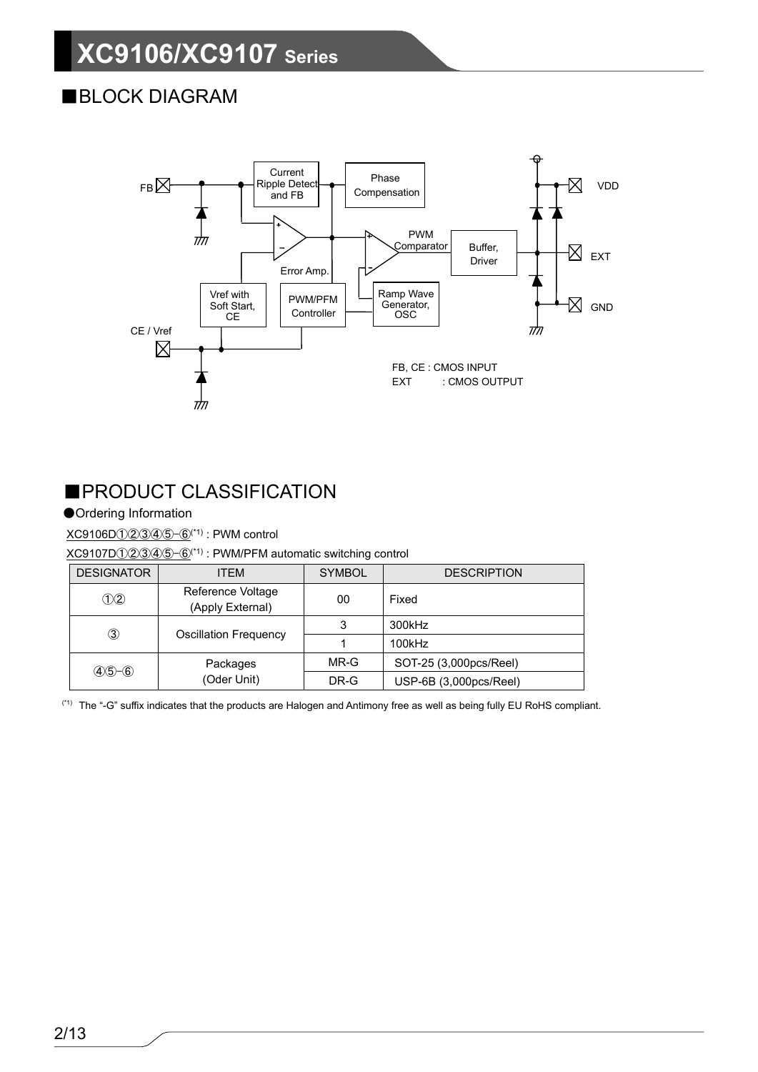# ■BLOCK DIAGRAM



# ■PRODUCT CLASSIFICATION

●Ordering Information

XC9106D①②③④⑤-⑥(\*1) : PWM control

XC9107D①②③④⑤-⑥(\*1) : PWM/PFM automatic switching control

| <b>DESIGNATOR</b> | ITEM                                  | <b>SYMBOL</b> | <b>DESCRIPTION</b>     |
|-------------------|---------------------------------------|---------------|------------------------|
| <u>D2</u>         | Reference Voltage<br>(Apply External) | 00            | Fixed                  |
|                   |                                       | 3             | 300kHz                 |
| ③                 | <b>Oscillation Frequency</b>          |               | 100kHz                 |
| $(4)5 - 6$        | Packages                              | MR-G          | SOT-25 (3,000pcs/Reel) |
| (Oder Unit)       |                                       | DR-G          | USP-6B (3,000pcs/Reel) |

(\*1) The "-G" suffix indicates that the products are Halogen and Antimony free as well as being fully EU RoHS compliant.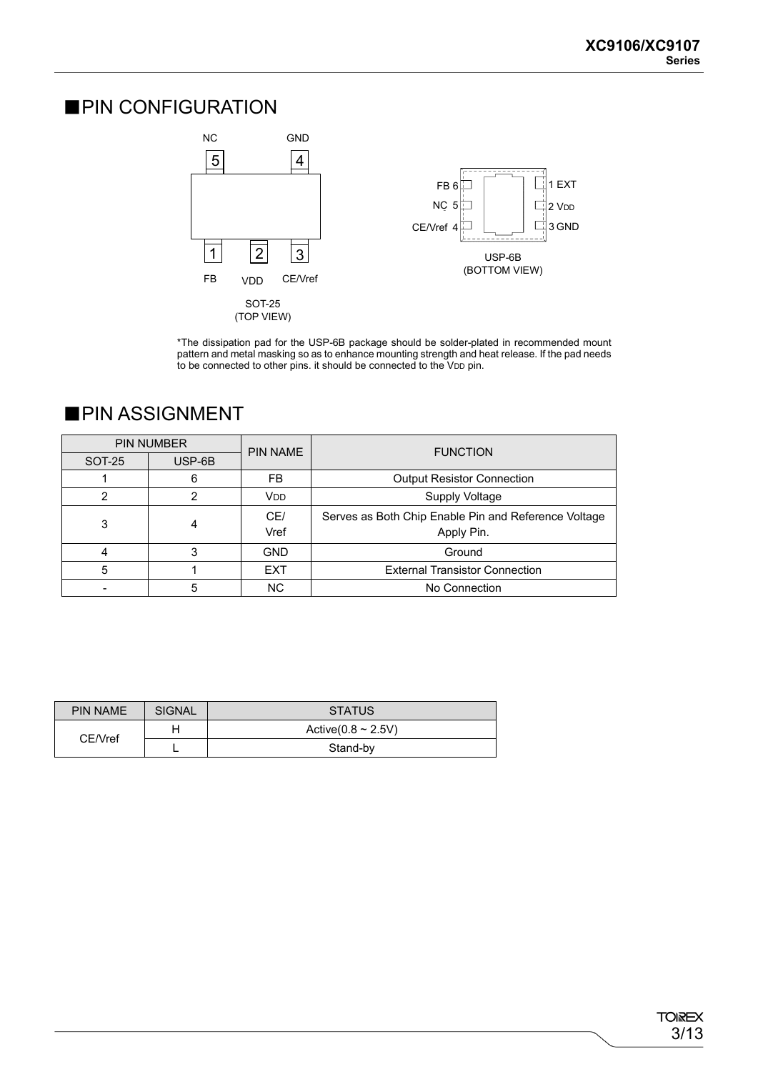## ■PIN CONFIGURATION



\*The dissipation pad for the USP-6B package should be solder-plated in recommended mount pattern and metal masking so as to enhance mounting strength and heat release. If the pad needs to be connected to other pins. it should be connected to the VDD pin.

# ■PIN ASSIGNMENT

|        | <b>PIN NUMBER</b> | <b>PIN NAME</b>       | <b>FUNCTION</b>                                                    |
|--------|-------------------|-----------------------|--------------------------------------------------------------------|
| SOT-25 | USP-6B            |                       |                                                                    |
|        | 6                 | FB                    | <b>Output Resistor Connection</b>                                  |
| 2      | ◠                 | <b>V<sub>DD</sub></b> | Supply Voltage                                                     |
| 3      | 4                 | CE/<br>Vref           | Serves as Both Chip Enable Pin and Reference Voltage<br>Apply Pin. |
| 4      | 3                 | <b>GND</b>            | Ground                                                             |
| 5      |                   | <b>EXT</b>            | <b>External Transistor Connection</b>                              |
|        | 5                 | <b>NC</b>             | No Connection                                                      |

| <b>PIN NAME</b> | <b>SIGNAL</b> | <b>STATUS</b>            |
|-----------------|---------------|--------------------------|
| CE/Vref         | н             | Active $(0.8 \sim 2.5V)$ |
|                 | -             | Stand-by                 |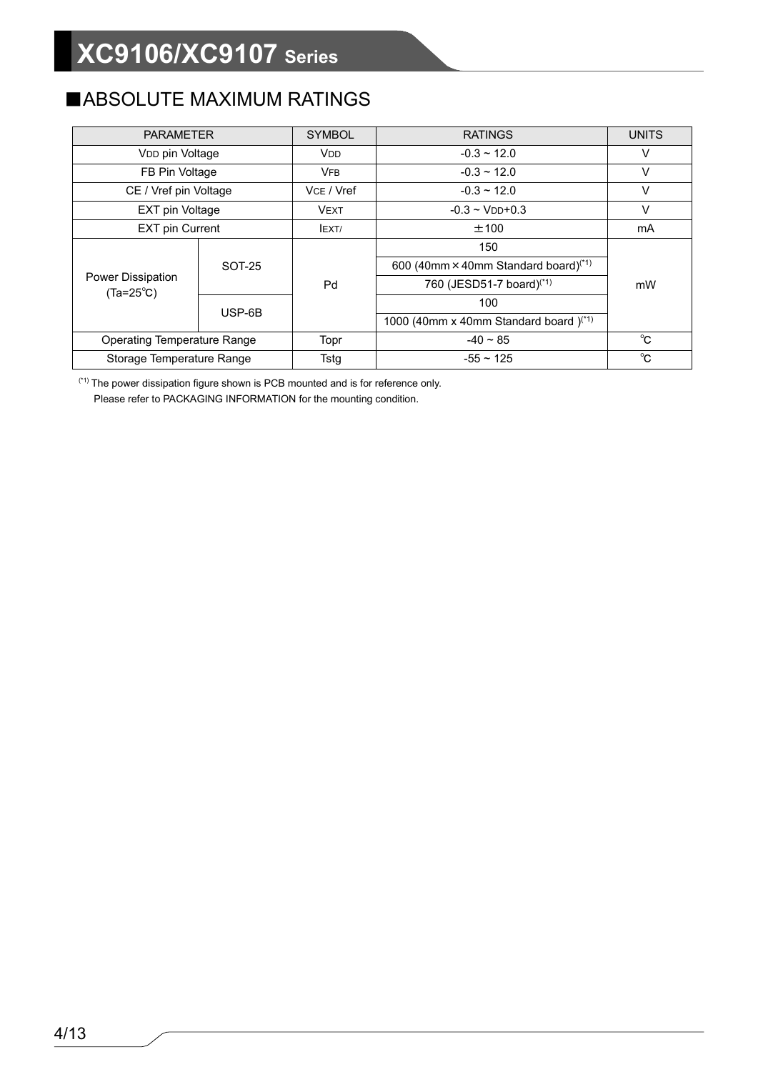# ■ABSOLUTE MAXIMUM RATINGS

| <b>PARAMETER</b>                               |                                    | <b>SYMBOL</b> | <b>RATINGS</b>                                    | <b>UNITS</b> |
|------------------------------------------------|------------------------------------|---------------|---------------------------------------------------|--------------|
| VDD pin Voltage                                |                                    | VDD           | $-0.3 \sim 12.0$                                  | V            |
| FB Pin Voltage                                 |                                    | <b>VFB</b>    | $-0.3 \sim 12.0$                                  | V            |
| CE / Vref pin Voltage                          |                                    | VCE / Vref    | $-0.3 \sim 12.0$                                  | V            |
| EXT pin Voltage                                |                                    | <b>VEXT</b>   | $-0.3 \sim$ V <sub>DD</sub> +0.3                  | V            |
|                                                | <b>EXT pin Current</b>             |               | ±100                                              | mA           |
|                                                |                                    |               | 150                                               |              |
|                                                | SOT-25                             |               | 600 (40mm × 40mm Standard board) <sup>(*1)</sup>  |              |
| <b>Power Dissipation</b><br>$(Ta=25^{\circ}C)$ |                                    | Pd            | 760 (JESD51-7 board) <sup>(*1)</sup>              | mW           |
|                                                |                                    |               | 100                                               |              |
|                                                | USP-6B                             |               | 1000 (40mm x 40mm Standard board) <sup>(*1)</sup> |              |
|                                                | <b>Operating Temperature Range</b> |               | $-40 \sim 85$                                     | °C           |
| Storage Temperature Range                      |                                    | Tstg          | $-55 \sim 125$                                    | °C           |

(\*1) The power dissipation figure shown is PCB mounted and is for reference only. Please refer to PACKAGING INFORMATION for the mounting condition.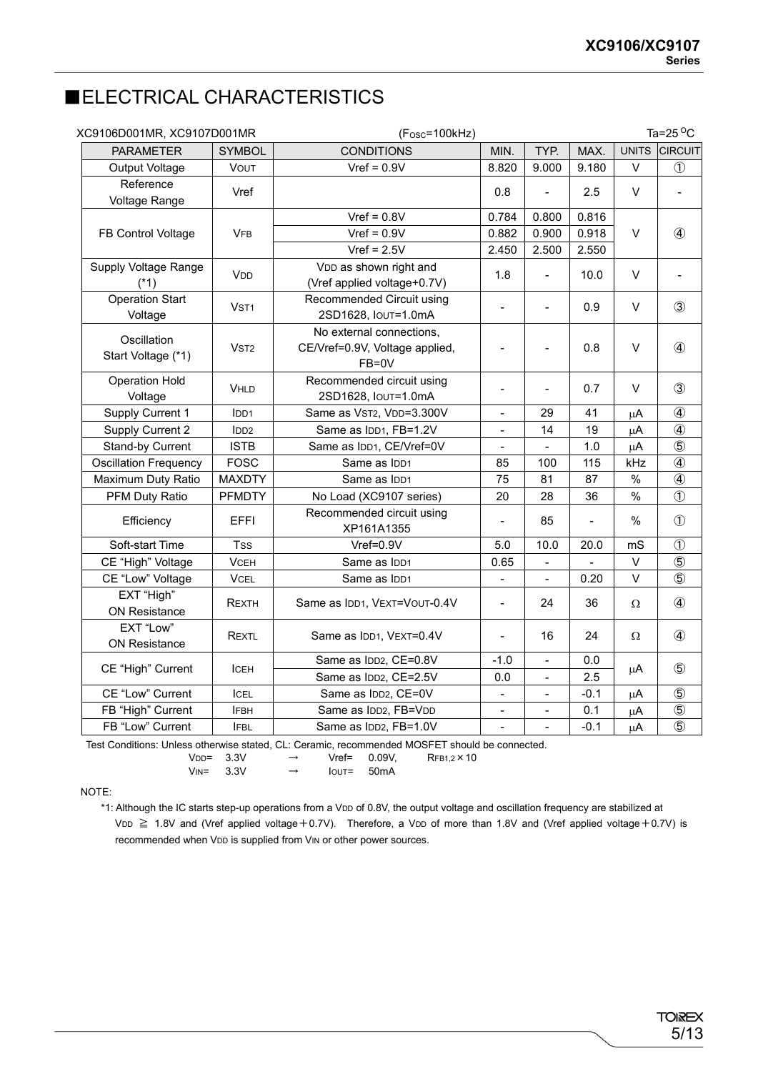# ■ELECTRICAL CHARACTERISTICS

| XC9106D001MR, XC9107D001MR         |                       | $(Fosc=100kHz)$                                                       |                          |                          | Ta=25 $^{\circ}$ C |              |                         |
|------------------------------------|-----------------------|-----------------------------------------------------------------------|--------------------------|--------------------------|--------------------|--------------|-------------------------|
| <b>PARAMETER</b>                   | <b>SYMBOL</b>         | <b>CONDITIONS</b>                                                     | MIN.                     | TYP.                     | MAX.               | <b>UNITS</b> | <b>CIRCUIT</b>          |
| <b>Output Voltage</b>              | VOUT                  | $Vref = 0.9V$                                                         | 8.820                    | 9.000                    | 9.180              | $\vee$       | $\circled{1}$           |
| Reference<br>Voltage Range         | Vref                  |                                                                       | 0.8                      | $\blacksquare$           | 2.5                | $\mathsf{V}$ |                         |
|                                    |                       | $Vref = 0.8V$                                                         | 0.784                    | 0.800                    | 0.816              |              |                         |
| FB Control Voltage                 | <b>VFB</b>            | $Vref = 0.9V$                                                         | 0.882                    | 0.900                    | 0.918              | V            | $\circled{4}$           |
|                                    |                       | $Vref = 2.5V$                                                         | 2.450                    | 2.500                    | 2.550              |              |                         |
| Supply Voltage Range<br>(*1)       | <b>V<sub>DD</sub></b> | VDD as shown right and<br>(Vref applied voltage+0.7V)                 | 1.8                      | $\blacksquare$           | 10.0               | $\vee$       |                         |
| <b>Operation Start</b><br>Voltage  | V <sub>ST1</sub>      | Recommended Circuit using<br>2SD1628, IOUT=1.0mA                      |                          | $\overline{a}$           | 0.9                | V            | $\circled{3}$           |
| Oscillation<br>Start Voltage (*1)  | V <sub>ST2</sub>      | No external connections,<br>CE/Vref=0.9V, Voltage applied,<br>$FB=0V$ |                          |                          | 0.8                | $\vee$       | $\circled{4}$           |
| <b>Operation Hold</b><br>Voltage   | <b>VHLD</b>           | Recommended circuit using<br>2SD1628, IOUT=1.0mA                      |                          |                          | 0.7                | $\mathsf{V}$ | $\circled{3}$           |
| Supply Current 1                   | IDD <sub>1</sub>      | Same as VsT2, VDD=3.300V                                              | $\overline{\phantom{a}}$ | 29                       | 41                 | μA           |                         |
| Supply Current 2                   | IDD <sub>2</sub>      | Same as IDD1, FB=1.2V                                                 | $\overline{\phantom{0}}$ | 14                       | 19                 | μA           |                         |
| Stand-by Current                   | <b>ISTB</b>           | Same as IDD1, CE/Vref=0V                                              | $\overline{\phantom{a}}$ | $\overline{\phantom{a}}$ | 1.0                | μA           | $\circledS$             |
| <b>Oscillation Frequency</b>       | <b>FOSC</b>           | Same as IDD1                                                          | 85                       | 100                      | 115                | kHz          | $\circled{4}$           |
| Maximum Duty Ratio                 | <b>MAXDTY</b>         | Same as IDD1                                                          | 75                       | 81                       | 87                 | %            | 4                       |
| PFM Duty Ratio                     | <b>PFMDTY</b>         | No Load (XC9107 series)                                               | 20                       | 28                       | 36                 | $\%$         | $\circled{1}$           |
| Efficiency                         | <b>EFFI</b>           | Recommended circuit using<br>XP161A1355                               |                          | 85                       |                    | $\%$         | $\circled{1}$           |
| Soft-start Time                    | <b>Tss</b>            | Vref=0.9V                                                             | 5.0                      | 10.0                     | 20.0               | mS           | $\bigcirc$              |
| CE "High" Voltage                  | <b>VCEH</b>           | Same as IDD1                                                          | 0.65                     | $\overline{\phantom{a}}$ |                    | $\mathsf{V}$ | $\overline{\mathbb{G}}$ |
| CE "Low" Voltage                   | <b>VCEL</b>           | Same as IDD1                                                          | $\overline{\phantom{a}}$ | $\overline{\phantom{a}}$ | 0.20               | $\vee$       | $\circledS$             |
| EXT "High"<br><b>ON Resistance</b> | REXTH                 | Same as IDD1, VEXT=VOUT-0.4V                                          | $\blacksquare$           | 24                       | 36                 | Ω            | $\circled{4}$           |
| EXT "Low"<br><b>ON Resistance</b>  | REXTL                 | Same as IDD1, VEXT=0.4V                                               | $\blacksquare$           | 16                       | 24                 | $\Omega$     | 4                       |
|                                    |                       | Same as IDD2, CE=0.8V                                                 | $-1.0$                   | $\Box$                   | 0.0                |              | $\circledS$             |
| CE "High" Current                  | ICEH                  | Same as IDD2, CE=2.5V                                                 | 0.0                      | $\blacksquare$           | 2.5                | μA           |                         |
| CE "Low" Current                   | ICEL                  | Same as IDD2, CE=0V                                                   | $\overline{\phantom{0}}$ | $\blacksquare$           | $-0.1$             | μA           | $\circledS$             |
| FB "High" Current                  | <b>IFBH</b>           | Same as IDD2, FB=VDD                                                  | $\overline{\phantom{0}}$ | $\blacksquare$           | 0.1                | $\mu$ A      | $\circledS$             |
| FB "Low" Current                   | <b>IFBL</b>           | Same as IDD2, FB=1.0V                                                 |                          |                          | $-0.1$             | μA           | $\circledS$             |

Test Conditions: Unless otherwise stated, CL: Ceramic, recommended MOSFET should be connected.<br>  $V_{DD} = 3.3V \rightarrow Vref = 0.09V, RFB1,2\times 10$ 

 $V_{DD} = 3.3V \rightarrow Vref= 0.09V, RFB1,2\times 10$ 

 $V_{IN}$ = 3.3V  $\rightarrow$  Iout= 50mA

NOTE:

\*1: Although the IC starts step-up operations from a VDD of 0.8V, the output voltage and oscillation frequency are stabilized at VDD ≧ 1.8V and (Vref applied voltage+0.7V). Therefore, a VDD of more than 1.8V and (Vref applied voltage+0.7V) is recommended when VDD is supplied from VIN or other power sources.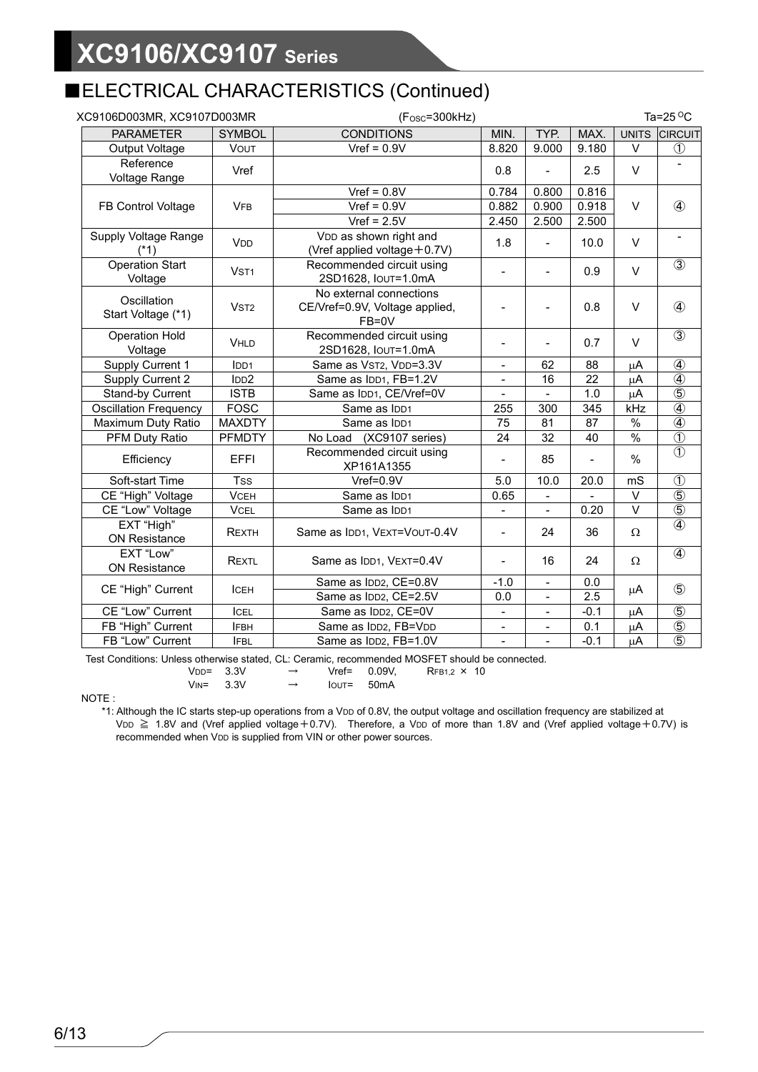# ■ELECTRICAL CHARACTERISTICS (Continued)

| XC9106D003MR, XC9107D003MR         |                  | $(Fosc=300kHz)$                                                      |                          |                              |                | Ta=25 °C          |                                       |  |
|------------------------------------|------------------|----------------------------------------------------------------------|--------------------------|------------------------------|----------------|-------------------|---------------------------------------|--|
| <b>PARAMETER</b>                   | <b>SYMBOL</b>    | <b>CONDITIONS</b>                                                    | MIN.                     | TYP.                         | MAX.           | <b>UNITS</b>      | <b>CIRCUIT</b>                        |  |
| Output Voltage                     | VOUT             | $Vref = 0.9V$                                                        | 8.820                    | 9.000                        | 9.180          | $\vee$            | $\circled{1}$                         |  |
| Reference<br>Voltage Range         | Vref             |                                                                      | 0.8                      |                              | 2.5            | $\vee$            | $\blacksquare$                        |  |
|                                    |                  | $Vref = 0.8V$                                                        | 0.784                    | 0.800                        | 0.816          |                   |                                       |  |
| FB Control Voltage                 | <b>VFB</b>       | $Vref = 0.9V$                                                        | 0.882                    | 0.900                        | 0.918          | $\vee$            | $\circled{4}$                         |  |
|                                    |                  | $Vref = 2.5V$                                                        | 2.450                    | 2.500                        | 2.500          |                   |                                       |  |
| Supply Voltage Range<br>$(*1)$     | V <sub>DD</sub>  | VDD as shown right and<br>(Vref applied voltage +0.7V)               | 1.8                      | $\blacksquare$               | 10.0           | $\vee$            |                                       |  |
| <b>Operation Start</b><br>Voltage  | VST <sub>1</sub> | Recommended circuit using<br>2SD1628, IOUT=1.0mA                     |                          | $\overline{\phantom{a}}$     | 0.9            | V                 | $\overline{3}$                        |  |
| Oscillation<br>Start Voltage (*1)  | V <sub>ST2</sub> | No external connections<br>CE/Vref=0.9V, Voltage applied,<br>$FB=0V$ | $\overline{\phantom{0}}$ | $\qquad \qquad \blacksquare$ | 0.8            | V                 | $\circled{4}$                         |  |
| <b>Operation Hold</b><br>Voltage   | <b>VHLD</b>      | Recommended circuit using<br>2SD1628, IOUT=1.0mA                     | $\blacksquare$           |                              | 0.7            | $\vee$            | $\overline{3}$                        |  |
| <b>Supply Current 1</b>            | IDD <sub>1</sub> | Same as VsT2, VDD=3.3V                                               | $\overline{\phantom{a}}$ | 62                           | 88             | μA                | $\circled{4}$                         |  |
| Supply Current 2                   | IDD2             | Same as IDD1, FB=1.2V                                                | $\blacksquare$           | 16                           | 22             | $\mu$ A           | $\overline{\textcircled{\textcirc}}}$ |  |
| Stand-by Current                   | <b>ISTB</b>      | Same as IDD1, CE/Vref=0V                                             | $\blacksquare$           | $\blacksquare$               | 1.0            | $\mu$ A           | $\overline{5}$                        |  |
| <b>Oscillation Frequency</b>       | <b>FOSC</b>      | Same as IDD1                                                         | 255                      | 300                          | 345            | kHz               | $\overline{\bigcirc}$                 |  |
| Maximum Duty Ratio                 | <b>MAXDTY</b>    | Same as IDD1                                                         | 75                       | 81                           | 87             | $\frac{9}{6}$     | $\overline{\textcircled{\textcirc}}}$ |  |
| PFM Duty Ratio                     | <b>PFMDTY</b>    | No Load (XC9107 series)                                              | 24                       | 32                           | 40             | $\frac{0}{0}$     | $\overline{\mathbb{O}}$               |  |
| Efficiency                         | <b>EFFI</b>      | Recommended circuit using<br>XP161A1355                              | $\blacksquare$           | 85                           | $\blacksquare$ | $\%$              | $\overline{1}$                        |  |
| Soft-start Time                    | <b>Tss</b>       | Vref=0.9V                                                            | 5.0                      | 10.0                         | 20.0           | mS                | $\overline{\bigcirc}$                 |  |
| CE "High" Voltage                  | <b>VCEH</b>      | Same as IDD1                                                         | 0.65                     | $\blacksquare$               |                | $\vee$            | $\circledS$                           |  |
| CE "Low" Voltage                   | <b>VCEL</b>      | Same as IDD1                                                         | $\blacksquare$           | $\overline{a}$               | 0.20           | $\overline{\vee}$ | $\circledS$                           |  |
| EXT "High"<br><b>ON Resistance</b> | <b>REXTH</b>     | Same as IDD1, VEXT=VOUT-0.4V                                         | $\overline{\phantom{a}}$ | 24                           | 36             | $\Omega$          | $\circled{4}$                         |  |
| EXT "Low"<br><b>ON Resistance</b>  | REXTL            | Same as IDD1, VEXT=0.4V                                              | $\overline{\phantom{a}}$ | 16                           | 24             | $\Omega$          | $\circled{4}$                         |  |
|                                    |                  | Same as IDD2, CE=0.8V                                                | $-1.0$                   | $\blacksquare$               | 0.0            |                   | $\circledS$                           |  |
| CE "High" Current                  | <b>ICEH</b>      | Same as IDD2, CE=2.5V                                                | 0.0                      | $\blacksquare$               | 2.5            | μA                |                                       |  |
| CE "Low" Current                   | ICEL             | Same as IDD2, CE=0V                                                  | $\blacksquare$           | $\overline{\phantom{a}}$     | $-0.1$         | μA                | $\overline{5}$                        |  |
| FB "High" Current                  | <b>IFBH</b>      | Same as IDD2, FB=VDD                                                 | $\qquad \qquad -$        | $\overline{\phantom{a}}$     | 0.1            | $\mu$ A           | $\circledS$                           |  |
| FB "Low" Current                   | <b>IFBL</b>      | Same as IDD2, FB=1.0V                                                | $\blacksquare$           | $\blacksquare$               | $-0.1$         | $\mu$ A           | $\overline{5}$                        |  |

Test Conditions: Unless otherwise stated, CL: Ceramic, recommended MOSFET should be connected.<br>  $\vee$ DD= 3.3V  $\rightarrow$  Vref= 0.09V, RFB1,2 × 10

Vref= 0.09V,

$$
V_{IN} = 3.3V \rightarrow I_{OUT} = 50mA
$$

NOTE :

\*1: Although the IC starts step-up operations from a VDD of 0.8V, the output voltage and oscillation frequency are stabilized at VDD ≧ 1.8V and (Vref applied voltage+0.7V). Therefore, a VDD of more than 1.8V and (Vref applied voltage+0.7V) is recommended when VDD is supplied from VIN or other power sources.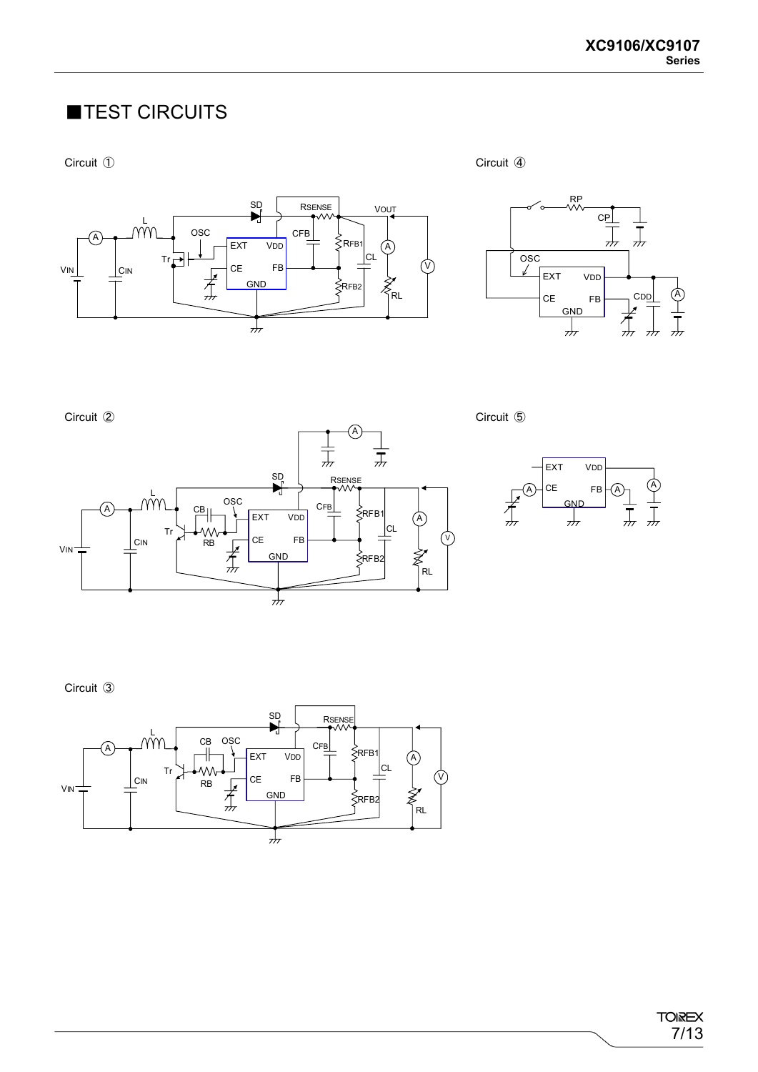# ■TEST CIRCUITS

Circuit ① Circuit ④











Circuit ③

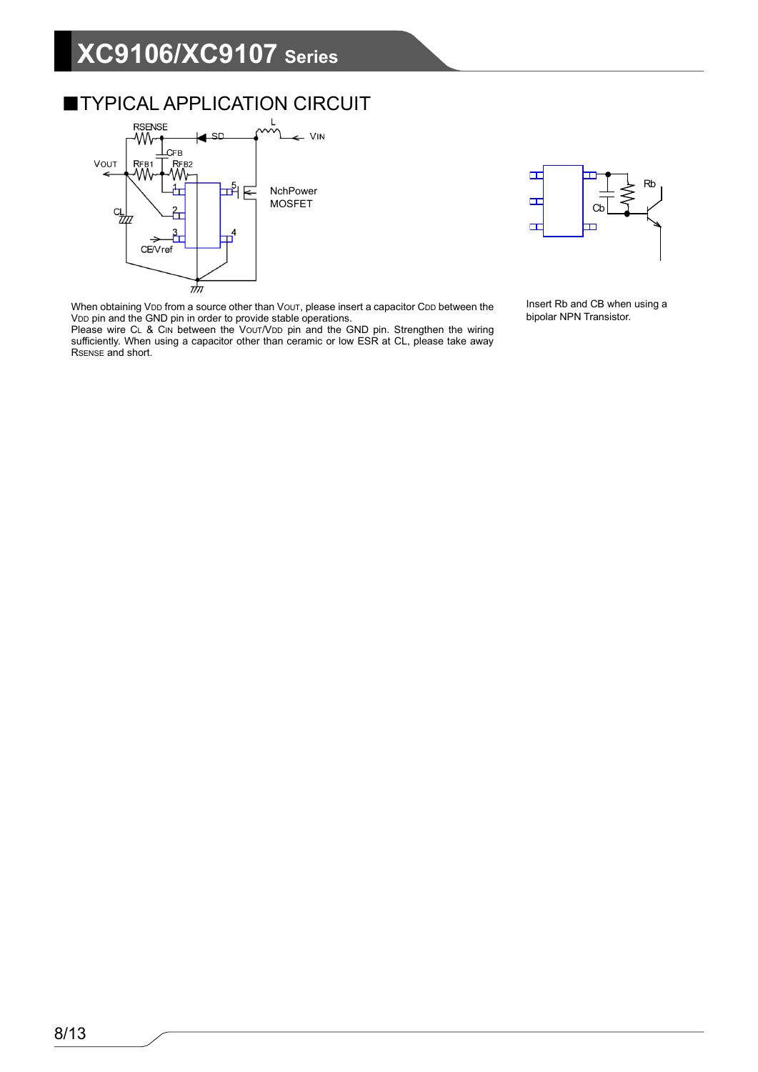# **TYPICAL APPLICATION CIRCUIT**





When obtaining VDD from a source other than VOUT, please insert a capacitor CDD between the VDD pin and the GND pin in order to provide stable operations.

Please wire CL & CIN between the VOUT/VDD pin and the GND pin. Strengthen the wiring sufficiently. When using a capacitor other than ceramic or low ESR at CL, please take away RSENSE and short.

Insert Rb and CB when using a bipolar NPN Transistor.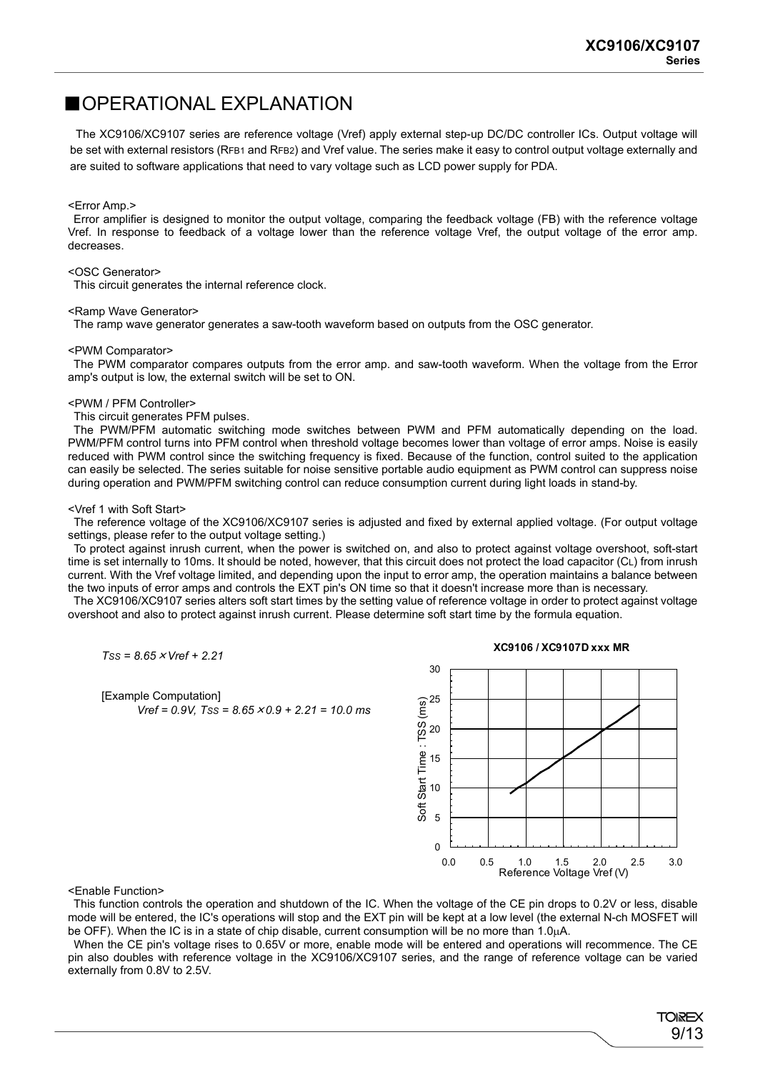### ■OPERATIONAL EXPLANATION

The XC9106/XC9107 series are reference voltage (Vref) apply external step-up DC/DC controller ICs. Output voltage will be set with external resistors (RFB1 and RFB2) and Vref value. The series make it easy to control output voltage externally and are suited to software applications that need to vary voltage such as LCD power supply for PDA.

#### <Error Amp.>

Error amplifier is designed to monitor the output voltage, comparing the feedback voltage (FB) with the reference voltage Vref. In response to feedback of a voltage lower than the reference voltage Vref, the output voltage of the error amp. decreases.

#### <OSC Generator>

This circuit generates the internal reference clock.

#### <Ramp Wave Generator>

The ramp wave generator generates a saw-tooth waveform based on outputs from the OSC generator.

#### <PWM Comparator>

The PWM comparator compares outputs from the error amp. and saw-tooth waveform. When the voltage from the Error amp's output is low, the external switch will be set to ON.

#### <PWM / PFM Controller>

This circuit generates PFM pulses.

The PWM/PFM automatic switching mode switches between PWM and PFM automatically depending on the load. PWM/PFM control turns into PFM control when threshold voltage becomes lower than voltage of error amps. Noise is easily reduced with PWM control since the switching frequency is fixed. Because of the function, control suited to the application can easily be selected. The series suitable for noise sensitive portable audio equipment as PWM control can suppress noise during operation and PWM/PFM switching control can reduce consumption current during light loads in stand-by.

#### <Vref 1 with Soft Start>

The reference voltage of the XC9106/XC9107 series is adjusted and fixed by external applied voltage. (For output voltage settings, please refer to the output voltage setting.)

To protect against inrush current, when the power is switched on, and also to protect against voltage overshoot, soft-start time is set internally to 10ms. It should be noted, however, that this circuit does not protect the load capacitor (CL) from inrush current. With the Vref voltage limited, and depending upon the input to error amp, the operation maintains a balance between the two inputs of error amps and controls the EXT pin's ON time so that it doesn't increase more than is necessary.

The XC9106/XC9107 series alters soft start times by the setting value of reference voltage in order to protect against voltage overshoot and also to protect against inrush current. Please determine soft start time by the formula equation.

$$
Tss = 8.65 \times Vref + 2.21
$$

[Example Computation] *Vref = 0.9V, TSS = 8.65*×*0.9 + 2.21 = 10.0 ms*



#### <Enable Function>

This function controls the operation and shutdown of the IC. When the voltage of the CE pin drops to 0.2V or less, disable mode will be entered, the IC's operations will stop and the EXT pin will be kept at a low level (the external N-ch MOSFET will be OFF). When the IC is in a state of chip disable, current consumption will be no more than 1.0µA.

When the CE pin's voltage rises to 0.65V or more, enable mode will be entered and operations will recommence. The CE pin also doubles with reference voltage in the XC9106/XC9107 series, and the range of reference voltage can be varied externally from 0.8V to 2.5V.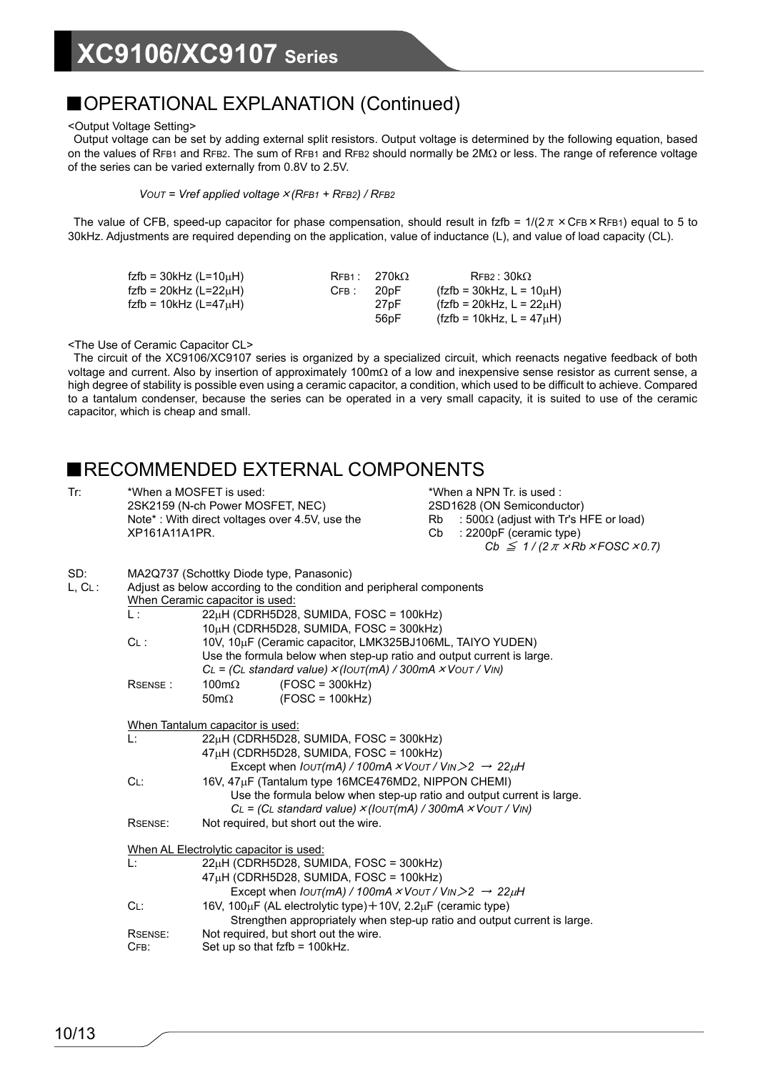## ■OPERATIONAL EXPLANATION (Continued)

#### <Output Voltage Setting>

Output voltage can be set by adding external split resistors. Output voltage is determined by the following equation, based on the values of RFB1 and RFB2. The sum of RFB1 and RFB2 should normally be 2MΩ or less. The range of reference voltage of the series can be varied externally from 0.8V to 2.5V.

*VOUT = Vref applied voltage*×*(RFB1 + RFB2) / RFB2*

The value of CFB, speed-up capacitor for phase compensation, should result in fzfb =  $1/(2\pi \times CFB \times RFB1)$  equal to 5 to 30kHz. Adjustments are required depending on the application, value of inductance (L), and value of load capacity (CL).

| $fzfb = 30kHz (L=10\mu H)$ |      | $RFB1: 270k\Omega$ | $RFB2:30k\Omega$              |
|----------------------------|------|--------------------|-------------------------------|
| $fzfb = 20kHz (L=22\mu H)$ | CFB: | 20 <sub>pF</sub>   | $(fzfb = 30kHz, L = 10\mu H)$ |
| $fzfb = 10kHz (L=47\mu H)$ |      | 27 <sub>pF</sub>   | $(fzfb = 20kHz, L = 22\mu H)$ |
|                            |      | 56 <sub>p</sub> F  | $(fzfb = 10kHz, L = 47\mu H)$ |

<The Use of Ceramic Capacitor CL>

The circuit of the XC9106/XC9107 series is organized by a specialized circuit, which reenacts negative feedback of both voltage and current. Also by insertion of approximately 100mΩ of a low and inexpensive sense resistor as current sense, a high degree of stability is possible even using a ceramic capacitor, a condition, which used to be difficult to achieve. Compared to a tantalum condenser, because the series can be operated in a very small capacity, it is suited to use of the ceramic capacitor, which is cheap and small.

## ■RECOMMENDED EXTERNAL COMPONENTS

| Tr:           | XP161A11A1PR.          | *When a MOSFET is used:<br>2SK2159 (N-ch Power MOSFET, NEC)<br>Note*: With direct voltages over 4.5V, use the                                                                                                | <b>Rb</b><br>Cb | *When a NPN Tr. is used :<br>2SD1628 (ON Semiconductor)<br>: 500 $\Omega$ (adjust with Tr's HFE or load)<br>: 2200pF (ceramic type)<br>Cb $\leq$ 1/(2 $\pi$ xRb xFOSC x0.7) |  |  |  |  |  |
|---------------|------------------------|--------------------------------------------------------------------------------------------------------------------------------------------------------------------------------------------------------------|-----------------|-----------------------------------------------------------------------------------------------------------------------------------------------------------------------------|--|--|--|--|--|
| SD:<br>L, CL: |                        | MA2Q737 (Schottky Diode type, Panasonic)<br>Adjust as below according to the condition and peripheral components<br>When Ceramic capacitor is used:                                                          |                 |                                                                                                                                                                             |  |  |  |  |  |
|               | L :                    | $22\mu$ H (CDRH5D28, SUMIDA, FOSC = 100kHz)<br>10µH (CDRH5D28, SUMIDA, FOSC = 300kHz)                                                                                                                        |                 |                                                                                                                                                                             |  |  |  |  |  |
|               | CL:                    | 10V, 10μF (Ceramic capacitor, LMK325BJ106ML, TAIYO YUDEN)<br>Use the formula below when step-up ratio and output current is large.<br>$CL = (CL standard value) \times (IOUT(mA) / 300mA \times VOUT / VIN)$ |                 |                                                                                                                                                                             |  |  |  |  |  |
|               | RSENSE:                | 100m $\Omega$<br>$(FOSC = 300kHz)$<br>$(FOSC = 100kHz)$<br>$50 \text{m}\Omega$                                                                                                                               |                 |                                                                                                                                                                             |  |  |  |  |  |
|               |                        | When Tantalum capacitor is used:                                                                                                                                                                             |                 |                                                                                                                                                                             |  |  |  |  |  |
|               | L:                     | $22\mu$ H (CDRH5D28, SUMIDA, FOSC = 300kHz)<br>$47\mu$ H (CDRH5D28, SUMIDA, FOSC = 100kHz)<br>Except when $IOUT(mA) / 100mA \times VOUT / VIN > 2 \rightarrow 22\mu H$                                       |                 |                                                                                                                                                                             |  |  |  |  |  |
|               | CL:                    | 16V, 47µF (Tantalum type 16MCE476MD2, NIPPON CHEMI)<br>Use the formula below when step-up ratio and output current is large.<br>$CL = (CL standard value) \times (IOUT(mA) / 300mA \times VOUT / VIN)$       |                 |                                                                                                                                                                             |  |  |  |  |  |
|               | RSENSE:                | Not required, but short out the wire.                                                                                                                                                                        |                 |                                                                                                                                                                             |  |  |  |  |  |
|               |                        | When AL Electrolytic capacitor is used:                                                                                                                                                                      |                 |                                                                                                                                                                             |  |  |  |  |  |
|               | L:                     | $22\mu$ H (CDRH5D28, SUMIDA, FOSC = 300kHz)<br>$47\mu$ H (CDRH5D28, SUMIDA, FOSC = 100kHz)<br>Except when $IOUT(mA) / 100mA \times VOUT / VIN > 2 \rightarrow 22\mu H$                                       |                 |                                                                                                                                                                             |  |  |  |  |  |
|               | CL:                    | 16V, 100μF (AL electrolytic type) + 10V, 2.2μF (ceramic type)<br>Strengthen appropriately when step-up ratio and output current is large.                                                                    |                 |                                                                                                                                                                             |  |  |  |  |  |
|               | <b>RSENSE:</b><br>CFB: | Not required, but short out the wire.<br>Set up so that $fzfb = 100kHz$ .                                                                                                                                    |                 |                                                                                                                                                                             |  |  |  |  |  |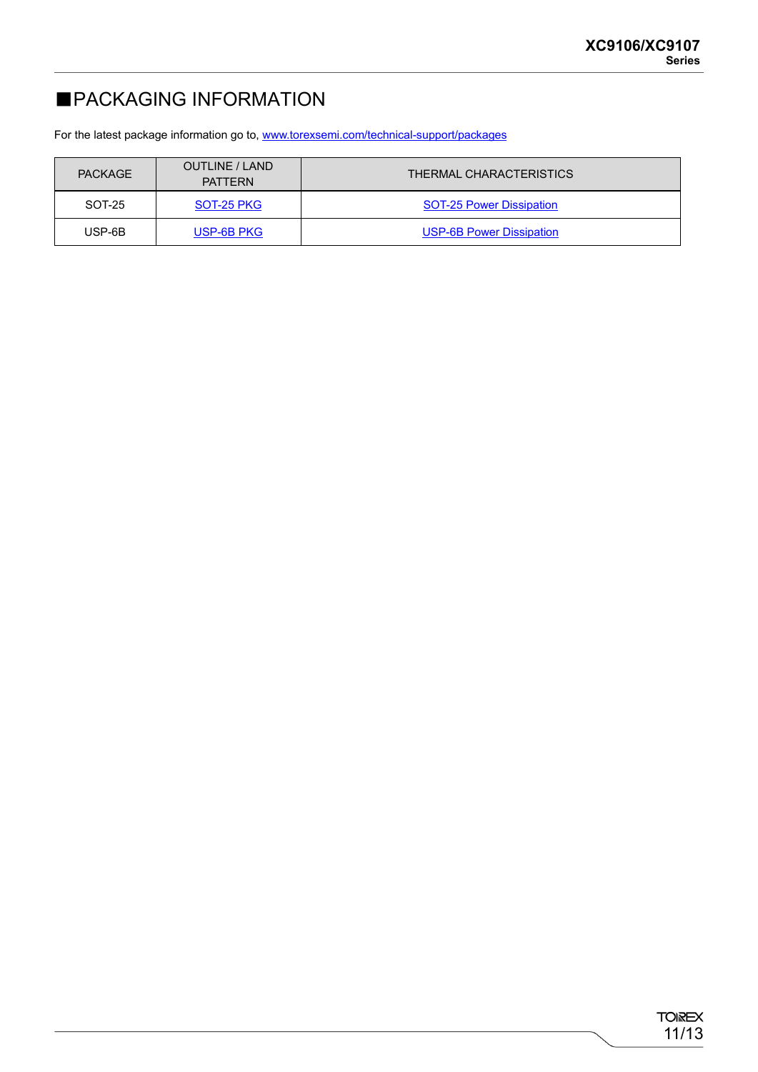# ■PACKAGING INFORMATION

For the latest package information go to, [www.torexsemi.com/technical-support/packages](https://www.torexsemi.com/technical-support/packages/)

| <b>PACKAGE</b> | OUTLINE / LAND<br><b>PATTERN</b> | THERMAL CHARACTERISTICS         |  |
|----------------|----------------------------------|---------------------------------|--|
| SOT-25         | SOT-25 PKG                       | <b>SOT-25 Power Dissipation</b> |  |
| USP-6B         | USP-6B PKG                       | <b>USP-6B Power Dissipation</b> |  |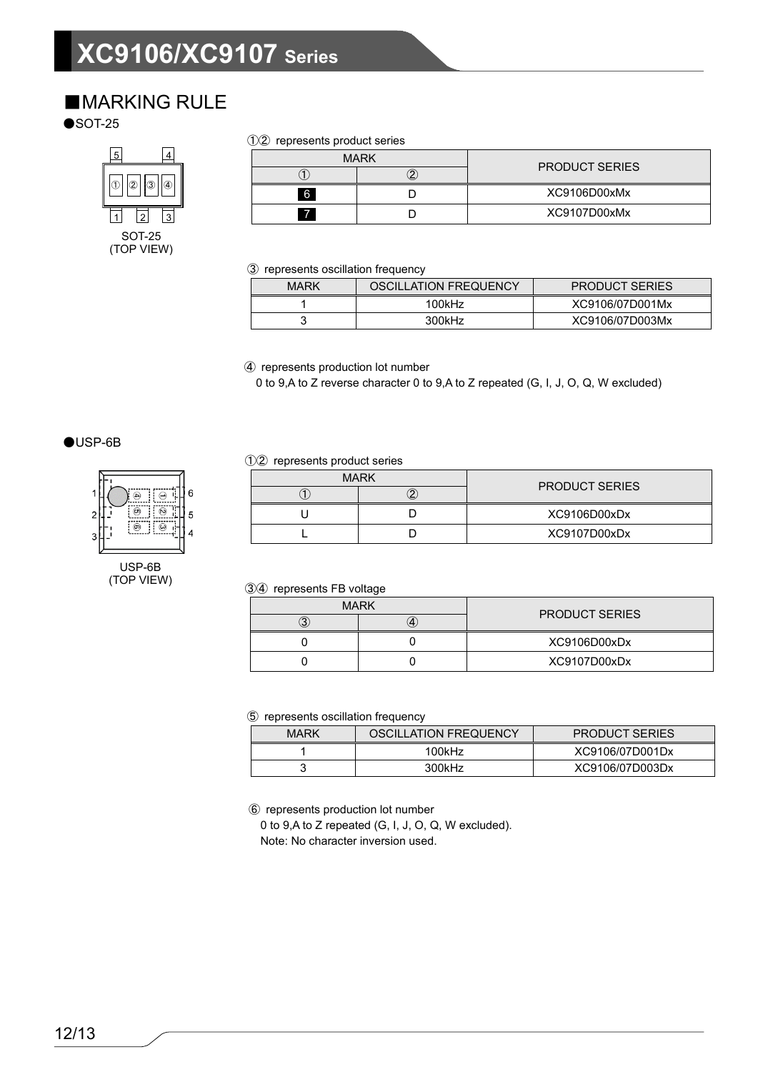### ■MARKING RULE

 $\bullet$ SOT-25

| D                    | $\circ$ $\circ$ |  |  |  |  |
|----------------------|-----------------|--|--|--|--|
|                      | $\mathcal{P}$   |  |  |  |  |
| SOT-25<br>(TOP VIEW) |                 |  |  |  |  |

#### ①② represents product series

|   | <b>MARK</b> | <b>PRODUCT SERIES</b> |
|---|-------------|-----------------------|
|   |             |                       |
| 6 |             | XC9106D00xMx          |
| j |             | XC9107D00xMx          |

③ represents oscillation frequency

| <b>MARK</b> | OSCILLATION FREQUENCY | <b>PRODUCT SERIES</b> |
|-------------|-----------------------|-----------------------|
|             | 100kHz                | XC9106/07D001Mx       |
|             | 300kHz                | XC9106/07D003Mx       |

④ represents production lot number

0 to 9,A to Z reverse character 0 to 9,A to Z repeated (G, I, J, O, Q, W excluded)

#### $\bigcirc$ USP-6B

| 1 |   |                               | 6 |
|---|---|-------------------------------|---|
|   |   |                               |   |
| 2 | G |                               | 5 |
|   |   | $\tilde{\boldsymbol{\omega}}$ |   |
| 3 |   |                               |   |
|   |   |                               |   |

USP-6B (TOP VIEW)

#### ①② represents product series

| <b>MARK</b> |  |                       |
|-------------|--|-----------------------|
|             |  | <b>PRODUCT SERIES</b> |
|             |  | XC9106D00xDx          |
|             |  | XC9107D00xDx          |

#### ③④ represents FB voltage

|             | - |                       |
|-------------|---|-----------------------|
| <b>MARK</b> |   |                       |
|             |   | <b>PRODUCT SERIES</b> |
|             |   | XC9106D00xDx          |
|             |   | XC9107D00xDx          |

#### ⑤ represents oscillation frequency

| <b>MARK</b> | OSCILLATION FREQUENCY | <b>PRODUCT SERIES</b> |
|-------------|-----------------------|-----------------------|
|             | 100kHz                | XC9106/07D001Dx       |
|             | 300kHz                | XC9106/07D003Dx       |

⑥ represents production lot number

0 to 9,A to Z repeated (G, I, J, O, Q, W excluded).

Note: No character inversion used.